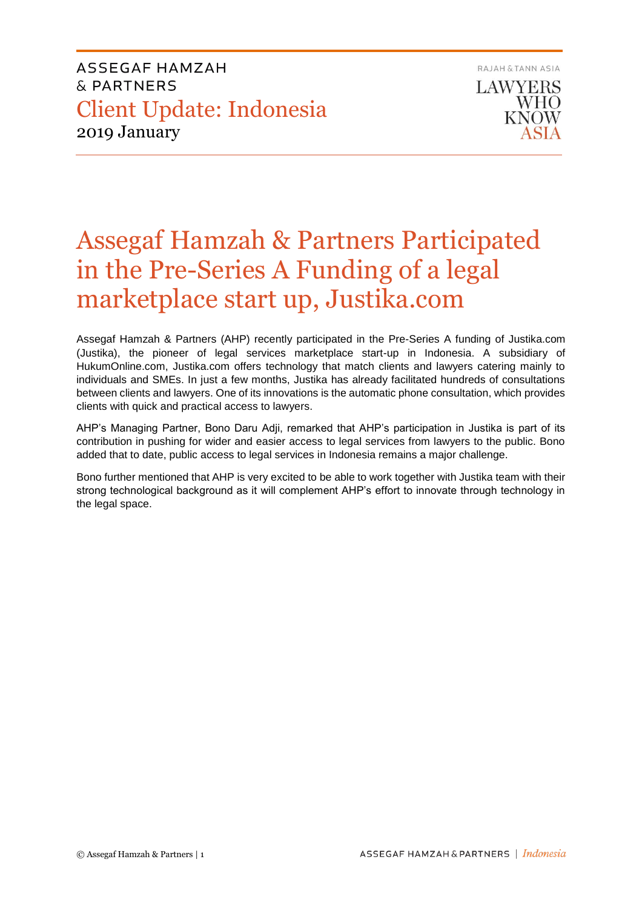ASSEGAF HAMZAH & PARTNERS Client Update: Indonesia 2019 January

RAJAH & TANN ASIA **LAWYERS WHO KNOW** 

# Assegaf Hamzah & Partners Participated in the Pre-Series A Funding of a legal marketplace start up, Justika.com

Assegaf Hamzah & Partners (AHP) recently participated in the Pre-Series A funding of Justika.com (Justika), the pioneer of legal services marketplace start-up in Indonesia. A subsidiary of HukumOnline.com, Justika.com offers technology that match clients and lawyers catering mainly to individuals and SMEs. In just a few months, Justika has already facilitated hundreds of consultations between clients and lawyers. One of its innovations is the automatic phone consultation, which provides clients with quick and practical access to lawyers.

AHP's Managing Partner, Bono Daru Adji, remarked that AHP's participation in Justika is part of its contribution in pushing for wider and easier access to legal services from lawyers to the public. Bono added that to date, public access to legal services in Indonesia remains a major challenge.

Bono further mentioned that AHP is very excited to be able to work together with Justika team with their strong technological background as it will complement AHP's effort to innovate through technology in the legal space.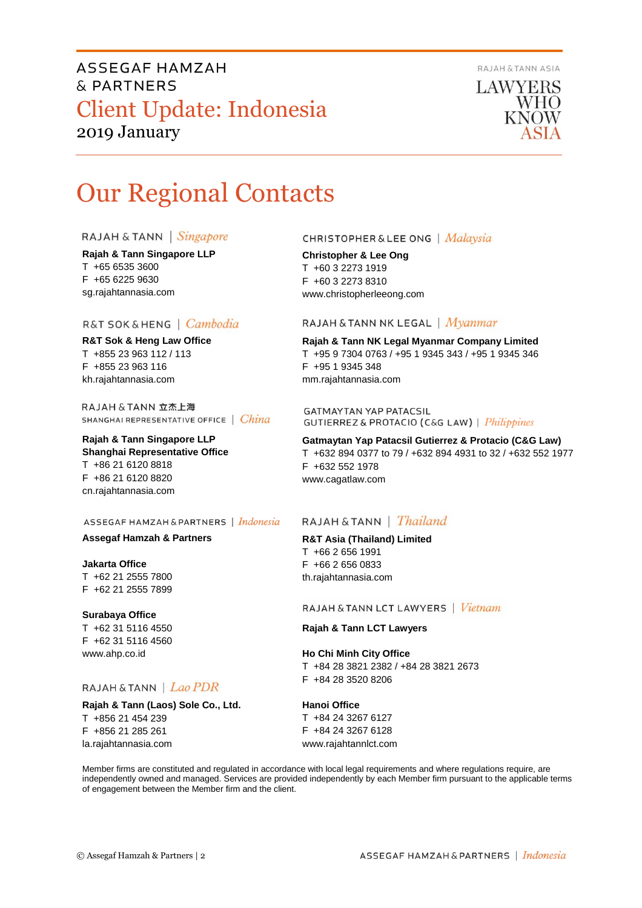RAJAH & TANN ASIA

## ASSEGAF HAMZAH & PARTNERS Client Update: Indonesia 2019 January



# Our Regional Contacts

#### RAJAH & TANN | Singapore

**Rajah & Tann Singapore LLP** T +65 6535 3600 F +65 6225 9630 sg.rajahtannasia.com

### R&T SOK & HENG | Cambodia

**R&T Sok & Heng Law Office** T +855 23 963 112 / 113 F +855 23 963 116 kh.rajahtannasia.com

RAJAH & TANN 立杰上海 SHANGHAI REPRESENTATIVE OFFICE | China

#### **Rajah & Tann Singapore LLP Shanghai Representative Office** T +86 21 6120 8818 F +86 21 6120 8820

cn.rajahtannasia.com

#### ASSEGAF HAMZAH & PARTNERS | Indonesia

#### **Assegaf Hamzah & Partners**

**Jakarta Office** T +62 21 2555 7800 F +62 21 2555 7899

#### **Surabaya Office**

T +62 31 5116 4550 F +62 31 5116 4560 www.ahp.co.id

#### RAJAH & TANN | Lao PDR

**Rajah & Tann (Laos) Sole Co., Ltd.** T +856 21 454 239 F +856 21 285 261 la.rajahtannasia.com

#### **CHRISTOPHER & LEE ONG** | Malaysia

**Christopher & Lee Ong** T +60 3 2273 1919 F +60 3 2273 8310 www.christopherleeong.com

### RAJAH & TANN NK LEGAL | Myanmar

**Rajah & Tann NK Legal Myanmar Company Limited** T +95 9 7304 0763 / +95 1 9345 343 / +95 1 9345 346 F +95 1 9345 348 mm.rajahtannasia.com

**GATMAYTAN YAP PATACSIL GUTIERREZ & PROTACIO (C&G LAW)** | *Philippines* 

**Gatmaytan Yap Patacsil Gutierrez & Protacio (C&G Law)**  T +632 894 0377 to 79 / +632 894 4931 to 32 / +632 552 1977 F +632 552 1978 www.cagatlaw.com

### RAJAH & TANN | Thailand

#### **R&T Asia (Thailand) Limited** T +66 2 656 1991 F +66 2 656 0833 th.rajahtannasia.com

#### RAJAH & TANN LCT LAWYERS | Vietnam

#### **Rajah & Tann LCT Lawyers**

#### **Ho Chi Minh City Office**

T +84 28 3821 2382 / +84 28 3821 2673 F +84 28 3520 8206

#### **Hanoi Office**

T +84 24 3267 6127 F +84 24 3267 6128 www.rajahtannlct.com

Member firms are constituted and regulated in accordance with local legal requirements and where regulations require, are independently owned and managed. Services are provided independently by each Member firm pursuant to the applicable terms of engagement between the Member firm and the client.